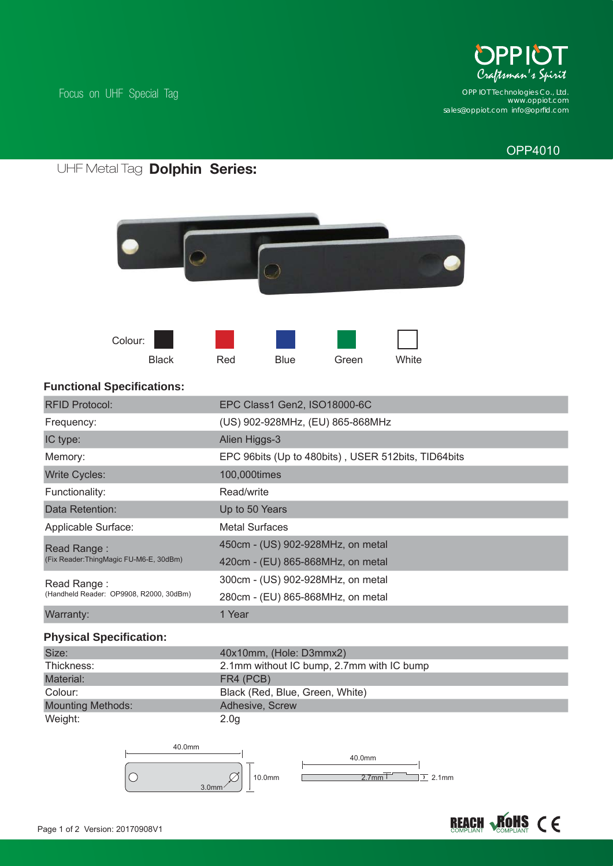

*www.oppiot.com sales@oppiot.com info@oprfi d.com OPP IOT Technologies Co., Ltd.*

## OPP4010

#### **Dolphin Series:** UHF Metal Tag

Focus on UHF Special Tag





## **Functional Specifications:**

| <b>RFID Protocol:</b>                                  | EPC Class1 Gen2, ISO18000-6C                        |
|--------------------------------------------------------|-----------------------------------------------------|
| Frequency:                                             | (US) 902-928MHz, (EU) 865-868MHz                    |
| IC type:                                               | Alien Higgs-3                                       |
| Memory:                                                | EPC 96bits (Up to 480bits), USER 512bits, TID64bits |
| <b>Write Cycles:</b>                                   | 100,000times                                        |
| Functionality:                                         | Read/write                                          |
| Data Retention:                                        | Up to 50 Years                                      |
| Applicable Surface:                                    | <b>Metal Surfaces</b>                               |
| Read Range:<br>(Fix Reader:ThingMagic FU-M6-E, 30dBm)  | 450cm - (US) 902-928MHz, on metal                   |
|                                                        | 420cm - (EU) 865-868MHz, on metal                   |
| Read Range:<br>(Handheld Reader: OP9908, R2000, 30dBm) | 300cm - (US) 902-928MHz, on metal                   |
|                                                        | 280cm - (EU) 865-868MHz, on metal                   |
| Warranty:                                              | 1 Year                                              |
| <b>Physical Specification:</b>                         |                                                     |
| Size:                                                  | 40x10mm, (Hole: D3mmx2)                             |
| Thickness:                                             | 2.1mm without IC bump, 2.7mm with IC bump           |
| Material:                                              | FR4 (PCB)                                           |
| Colour:                                                | Black (Red, Blue, Green, White)                     |
| <b>Mounting Methods:</b>                               | Adhesive, Screw                                     |
| Weight:                                                | 2.0 <sub>g</sub>                                    |